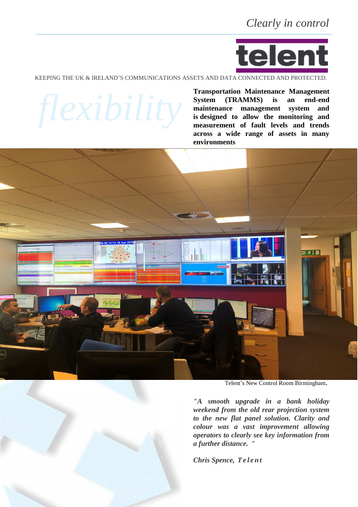

KEEPING THE UK & IRELAND'S COMMUNICATIONS ASSETS AND DATA CONNECTED AND PROTECTED.

**Transportation Maintenance Management System (TRAMMS) is an end-end maintenance management system and is designed to allow the monitoring and measurement of fault levels and trends across a wide range of assets in many environments**



Telent's New Control Room Birmingham.

*"A smooth upgrade in a bank holiday weekend from the old rear projection system to the new flat panel solution. Clarity and colour was a vast improvement allowing operators to clearly see key information from a further distance. "*

*Chris Spence, Te l e n t*